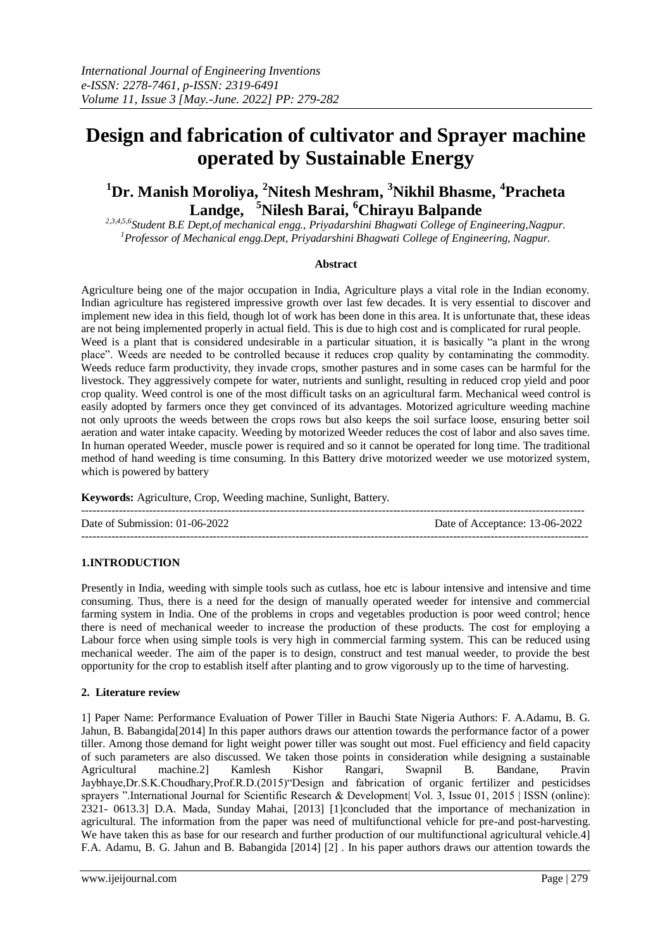# **Design and fabrication of cultivator and Sprayer machine operated by Sustainable Energy**

# **<sup>1</sup>Dr. Manish Moroliya, <sup>2</sup>Nitesh Meshram, <sup>3</sup>Nikhil Bhasme, 4 Pracheta Landge, <sup>5</sup>Nilesh Barai, <sup>6</sup>Chirayu Balpande**

*2,3,4,5,6Student B.E Dept,of mechanical engg., Priyadarshini Bhagwati College of Engineering,Nagpur. <sup>1</sup>Professor of Mechanical engg.Dept, Priyadarshini Bhagwati College of Engineering, Nagpur.*

# **Abstract**

Agriculture being one of the major occupation in India, Agriculture plays a vital role in the Indian economy. Indian agriculture has registered impressive growth over last few decades. It is very essential to discover and implement new idea in this field, though lot of work has been done in this area. It is unfortunate that, these ideas are not being implemented properly in actual field. This is due to high cost and is complicated for rural people. Weed is a plant that is considered undesirable in a particular situation, it is basically "a plant in the wrong place". Weeds are needed to be controlled because it reduces crop quality by contaminating the commodity. Weeds reduce farm productivity, they invade crops, smother pastures and in some cases can be harmful for the livestock. They aggressively compete for water, nutrients and sunlight, resulting in reduced crop yield and poor crop quality. Weed control is one of the most difficult tasks on an agricultural farm. Mechanical weed control is easily adopted by farmers once they get convinced of its advantages. Motorized agriculture weeding machine not only uproots the weeds between the crops rows but also keeps the soil surface loose, ensuring better soil aeration and water intake capacity. Weeding by motorized Weeder reduces the cost of labor and also saves time. In human operated Weeder, muscle power is required and so it cannot be operated for long time. The traditional method of hand weeding is time consuming. In this Battery drive motorized weeder we use motorized system, which is powered by battery

**Keywords:** Agriculture, Crop, Weeding machine, Sunlight, Battery.

-------------------------------------------------------------------------------------------------------------------------------------- Date of Submission: 01-06-2022 Date of Acceptance: 13-06-2022 ---------------------------------------------------------------------------------------------------------------------------------------

# **1.INTRODUCTION**

Presently in India, weeding with simple tools such as cutlass, hoe etc is labour intensive and intensive and time consuming. Thus, there is a need for the design of manually operated weeder for intensive and commercial farming system in India. One of the problems in crops and vegetables production is poor weed control; hence there is need of mechanical weeder to increase the production of these products. The cost for employing a Labour force when using simple tools is very high in commercial farming system. This can be reduced using mechanical weeder. The aim of the paper is to design, construct and test manual weeder, to provide the best opportunity for the crop to establish itself after planting and to grow vigorously up to the time of harvesting.

# **2. Literature review**

1] Paper Name: Performance Evaluation of Power Tiller in Bauchi State Nigeria Authors: F. A.Adamu, B. G. Jahun, B. Babangida[2014] In this paper authors draws our attention towards the performance factor of a power tiller. Among those demand for light weight power tiller was sought out most. Fuel efficiency and field capacity of such parameters are also discussed. We taken those points in consideration while designing a sustainable Agricultural machine.2] Kamlesh Kishor Rangari, Swapnil B. Bandane, Pravin Jaybhaye,Dr.S.K.Choudhary,Prof.R.D.(2015)"Design and fabrication of organic fertilizer and pesticidses sprayers ".International Journal for Scientific Research & Development| Vol. 3, Issue 01, 2015 | ISSN (online): 2321- 0613.3] D.A. Mada, Sunday Mahai, [2013] [1]concluded that the importance of mechanization in agricultural. The information from the paper was need of multifunctional vehicle for pre-and post-harvesting. We have taken this as base for our research and further production of our multifunctional agricultural vehicle.4] F.A. Adamu, B. G. Jahun and B. Babangida [2014] [2] . In his paper authors draws our attention towards the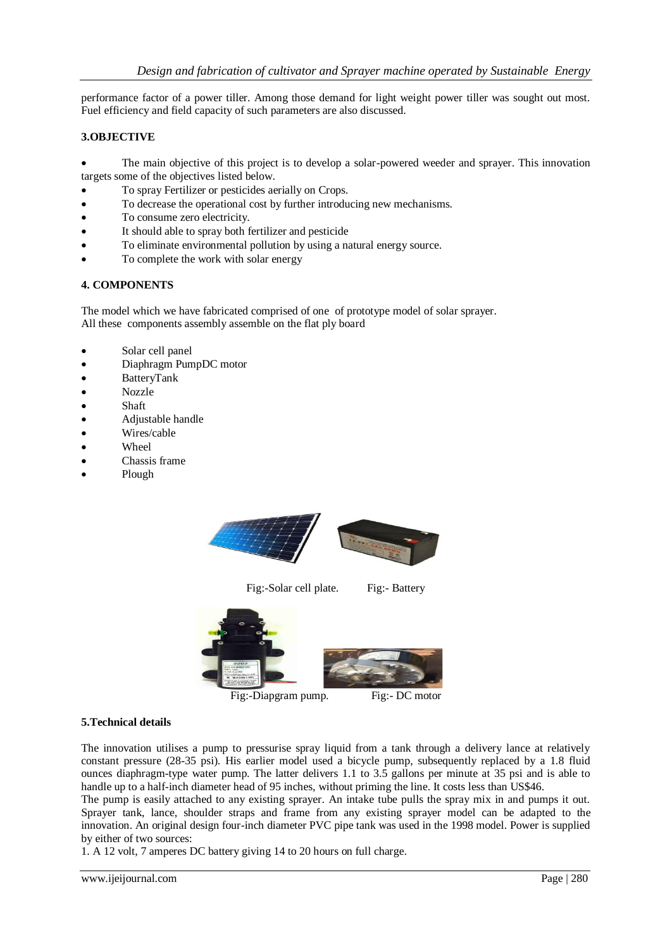performance factor of a power tiller. Among those demand for light weight power tiller was sought out most. Fuel efficiency and field capacity of such parameters are also discussed.

# **3.OBJECTIVE**

 The main objective of this project is to develop a solar-powered weeder and sprayer. This innovation targets some of the objectives listed below.

- To spray Fertilizer or pesticides aerially on Crops.
- To decrease the operational cost by further introducing new mechanisms.
- To consume zero electricity.
- It should able to spray both fertilizer and pesticide
- To eliminate environmental pollution by using a natural energy source.
- To complete the work with solar energy

# **4. COMPONENTS**

The model which we have fabricated comprised of one of prototype model of solar sprayer. All these components assembly assemble on the flat ply board

- Solar cell panel
- Diaphragm PumpDC motor
- BatteryTank
- Nozzle
- Shaft
- Adjustable handle
- Wires/cable
- Wheel
- Chassis frame
- Plough



Fig:-Solar cell plate. Fig:- Battery



Fig:-Diapgram pump. Fig:- DC motor



#### **5.Technical details**

The innovation utilises a pump to pressurise spray liquid from a tank through a delivery lance at relatively constant pressure (28-35 psi). His earlier model used a bicycle pump, subsequently replaced by a 1.8 fluid ounces diaphragm-type water pump. The latter delivers 1.1 to 3.5 gallons per minute at 35 psi and is able to handle up to a half-inch diameter head of 95 inches, without priming the line. It costs less than US\$46.

The pump is easily attached to any existing sprayer. An intake tube pulls the spray mix in and pumps it out. Sprayer tank, lance, shoulder straps and frame from any existing sprayer model can be adapted to the innovation. An original design four-inch diameter PVC pipe tank was used in the 1998 model. Power is supplied by either of two sources:

1. A 12 volt, 7 amperes DC battery giving 14 to 20 hours on full charge.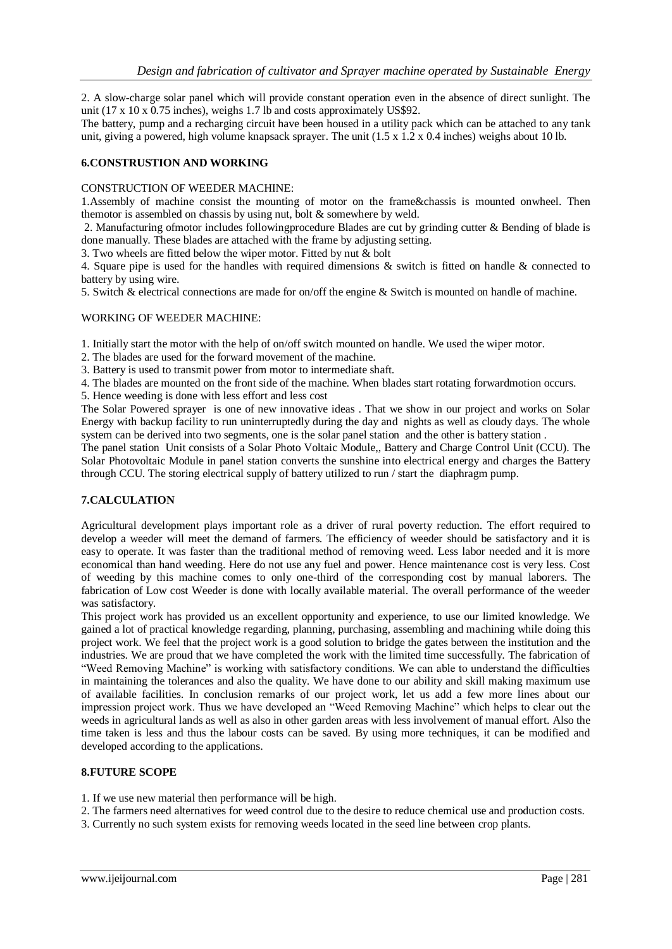2. A slow-charge solar panel which will provide constant operation even in the absence of direct sunlight. The unit  $(17 \times 10 \times 0.75$  inches), weighs 1.7 lb and costs approximately US\$92.

The battery, pump and a recharging circuit have been housed in a utility pack which can be attached to any tank unit, giving a powered, high volume knapsack sprayer. The unit  $(1.5 \times 1.2 \times 0.4$  inches) weighs about 10 lb.

#### **6.CONSTRUSTION AND WORKING**

#### CONSTRUCTION OF WEEDER MACHINE:

1.Assembly of machine consist the mounting of motor on the frame&chassis is mounted onwheel. Then themotor is assembled on chassis by using nut, bolt & somewhere by weld.

2. Manufacturing ofmotor includes followingprocedure Blades are cut by grinding cutter & Bending of blade is done manually. These blades are attached with the frame by adjusting setting.

3. Two wheels are fitted below the wiper motor. Fitted by nut & bolt

4. Square pipe is used for the handles with required dimensions & switch is fitted on handle & connected to battery by using wire.

5. Switch & electrical connections are made for on/off the engine & Switch is mounted on handle of machine.

#### WORKING OF WEEDER MACHINE:

1. Initially start the motor with the help of on/off switch mounted on handle. We used the wiper motor.

- 2. The blades are used for the forward movement of the machine.
- 3. Battery is used to transmit power from motor to intermediate shaft.

4. The blades are mounted on the front side of the machine. When blades start rotating forwardmotion occurs.

5. Hence weeding is done with less effort and less cost

The Solar Powered sprayer is one of new innovative ideas . That we show in our project and works on Solar Energy with backup facility to run uninterruptedly during the day and nights as well as cloudy days. The whole system can be derived into two segments, one is the solar panel station and the other is battery station .

The panel station Unit consists of a Solar Photo Voltaic Module,, Battery and Charge Control Unit (CCU). The Solar Photovoltaic Module in panel station converts the sunshine into electrical energy and charges the Battery through CCU. The storing electrical supply of battery utilized to run / start the diaphragm pump.

#### **7.CALCULATION**

Agricultural development plays important role as a driver of rural poverty reduction. The effort required to develop a weeder will meet the demand of farmers. The efficiency of weeder should be satisfactory and it is easy to operate. It was faster than the traditional method of removing weed. Less labor needed and it is more economical than hand weeding. Here do not use any fuel and power. Hence maintenance cost is very less. Cost of weeding by this machine comes to only one-third of the corresponding cost by manual laborers. The fabrication of Low cost Weeder is done with locally available material. The overall performance of the weeder was satisfactory.

This project work has provided us an excellent opportunity and experience, to use our limited knowledge. We gained a lot of practical knowledge regarding, planning, purchasing, assembling and machining while doing this project work. We feel that the project work is a good solution to bridge the gates between the institution and the industries. We are proud that we have completed the work with the limited time successfully. The fabrication of "Weed Removing Machine" is working with satisfactory conditions. We can able to understand the difficulties in maintaining the tolerances and also the quality. We have done to our ability and skill making maximum use of available facilities. In conclusion remarks of our project work, let us add a few more lines about our impression project work. Thus we have developed an "Weed Removing Machine" which helps to clear out the weeds in agricultural lands as well as also in other garden areas with less involvement of manual effort. Also the time taken is less and thus the labour costs can be saved. By using more techniques, it can be modified and developed according to the applications.

#### **8.FUTURE SCOPE**

- 1. If we use new material then performance will be high.
- 2. The farmers need alternatives for weed control due to the desire to reduce chemical use and production costs.
- 3. Currently no such system exists for removing weeds located in the seed line between crop plants.